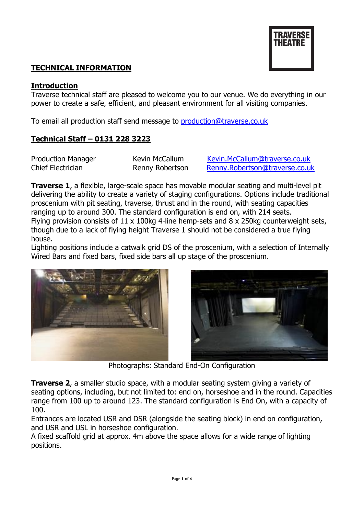

# **TECHNICAL INFORMATION**

### **Introduction**

Traverse technical staff are pleased to welcome you to our venue. We do everything in our power to create a safe, efficient, and pleasant environment for all visiting companies.

To email all production staff send message to [production@traverse.co.uk](mailto:production@traverse.co.uk)

# **Technical Staff – 0131 228 3223**

| <b>Production Manager</b> | Kevin McCallum  | Kevin.McCallum@traverse.co.uk  |
|---------------------------|-----------------|--------------------------------|
| Chief Electrician         | Renny Robertson | Renny.Robertson@traverse.co.uk |

**Traverse 1**, a flexible, large-scale space has movable modular seating and multi-level pit delivering the ability to create a variety of staging configurations. Options include traditional proscenium with pit seating, traverse, thrust and in the round, with seating capacities ranging up to around 300. The standard configuration is end on, with 214 seats. Flying provision consists of 11 x 100kg 4-line hemp-sets and 8 x 250kg counterweight sets, though due to a lack of flying height Traverse 1 should not be considered a true flying house.

Lighting positions include a catwalk grid DS of the proscenium, with a selection of Internally Wired Bars and fixed bars, fixed side bars all up stage of the proscenium.



Photographs: Standard End-On Configuration

**Traverse 2,** a smaller studio space, with a modular seating system giving a variety of seating options, including, but not limited to: end on, horseshoe and in the round. Capacities range from 100 up to around 123. The standard configuration is End On, with a capacity of 100.

Entrances are located USR and DSR (alongside the seating block) in end on configuration, and USR and USL in horseshoe configuration.

A fixed scaffold grid at approx. 4m above the space allows for a wide range of lighting positions.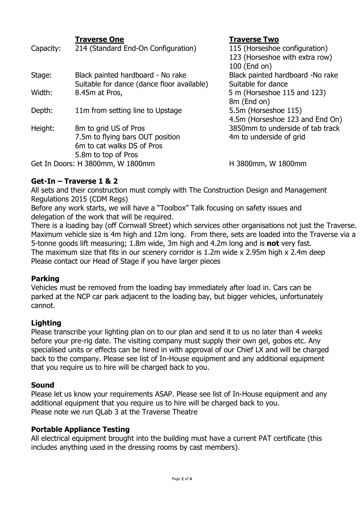|           | <b>Traverse One</b>                        | <b>Traverse Two</b>              |
|-----------|--------------------------------------------|----------------------------------|
| Capacity: | 214 (Standard End-On Configuration)        | 115 (Horseshoe configuration)    |
|           |                                            | 123 (Horseshoe with extra row)   |
|           |                                            | 100 (End on)                     |
| Stage:    | Black painted hardboard - No rake          | Black painted hardboard -No rake |
|           | Suitable for dance (dance floor available) | Suitable for dance               |
| Width:    | 8.45m at Pros,                             | 5 m (Horseshoe 115 and 123)      |
|           |                                            | 8m (End on)                      |
| Depth:    | 11m from setting line to Upstage           | 5.5m (Horseshoe 115)             |
|           |                                            | 4.5m (Horseshoe 123 and End On)  |
| Height:   | 8m to grid US of Pros                      | 3850mm to underside of tab track |
|           | 7.5m to flying bars OUT position           | 4m to underside of grid          |
|           | 6m to cat walks DS of Pros                 |                                  |
|           | 5.8m to top of Pros                        |                                  |
|           | Get In Doors: H 3800mm, W 1800mm           | H 3800mm, W 1800mm               |

## **Get-In – Traverse 1 & 2**

All sets and their construction must comply with The Construction Design and Management Regulations 2015 (CDM Regs)

Before any work starts, we will have a "Toolbox" Talk focusing on safety issues and delegation of the work that will be required.

There is a loading bay (off Cornwall Street) which services other organisations not just the Traverse. Maximum vehicle size is 4m high and 12m long. From there, sets are loaded into the Traverse via a 5-tonne goods lift measuring; 1.8m wide, 3m high and 4.2m long and is **not** very fast. The maximum size that fits in our scenery corridor is 1.2m wide x 2.95m high x 2.4m deep Please contact our Head of Stage if you have larger pieces

## **Parking**

Vehicles must be removed from the loading bay immediately after load in. Cars can be parked at the NCP car park adjacent to the loading bay, but bigger vehicles, unfortunately cannot.

## **Lighting**

Please transcribe your lighting plan on to our plan and send it to us no later than 4 weeks before your pre-rig date. The visiting company must supply their own gel, gobos etc. Any specialised units or effects can be hired in with approval of our Chief LX and will be charged back to the company. Please see list of In-House equipment and any additional equipment that you require us to hire will be charged back to you.

## **Sound**

Please let us know your requirements ASAP. Please see list of In-House equipment and any additional equipment that you require us to hire will be charged back to you. Please note we run QLab 3 at the Traverse Theatre

## **Portable Appliance Testing**

All electrical equipment brought into the building must have a current PAT certificate (this includes anything used in the dressing rooms by cast members).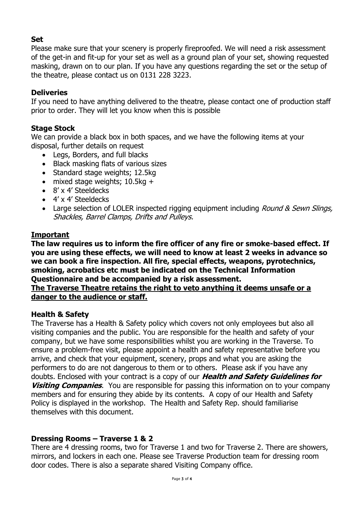## **Set**

Please make sure that your scenery is properly fireproofed. We will need a risk assessment of the get-in and fit-up for your set as well as a ground plan of your set, showing requested masking, drawn on to our plan. If you have any questions regarding the set or the setup of the theatre, please contact us on 0131 228 3223.

### **Deliveries**

If you need to have anything delivered to the theatre, please contact one of production staff prior to order. They will let you know when this is possible

## **Stage Stock**

We can provide a black box in both spaces, and we have the following items at your disposal, further details on request

- Legs, Borders, and full blacks
- Black masking flats of various sizes
- Standard stage weights; 12.5kg
- mixed stage weights;  $10.5kg +$
- 8' x 4' Steeldecks
- 4' x 4' Steeldecks
- Large selection of LOLER inspected rigging equipment including Round & Sewn Slings, Shackles, Barrel Clamps, Drifts and Pulleys.

### **Important**

**The law requires us to inform the fire officer of any fire or smoke-based effect. If you are using these effects, we will need to know at least 2 weeks in advance so we can book a fire inspection. All fire, special effects, weapons, pyrotechnics, smoking, acrobatics etc must be indicated on the Technical Information Questionnaire and be accompanied by a risk assessment.**

### **The Traverse Theatre retains the right to veto anything it deems unsafe or a danger to the audience or staff.**

### **Health & Safety**

The Traverse has a Health & Safety policy which covers not only employees but also all visiting companies and the public. You are responsible for the health and safety of your company, but we have some responsibilities whilst you are working in the Traverse. To ensure a problem-free visit, please appoint a health and safety representative before you arrive, and check that your equipment, scenery, props and what you are asking the performers to do are not dangerous to them or to others. Please ask if you have any doubts. Enclosed with your contract is a copy of our **Health and Safety Guidelines for Visiting Companies.** You are responsible for passing this information on to your company members and for ensuring they abide by its contents. A copy of our Health and Safety Policy is displayed in the workshop. The Health and Safety Rep. should familiarise themselves with this document.

## **Dressing Rooms – Traverse 1 & 2**

There are 4 dressing rooms, two for Traverse 1 and two for Traverse 2. There are showers, mirrors, and lockers in each one. Please see Traverse Production team for dressing room door codes. There is also a separate shared Visiting Company office.